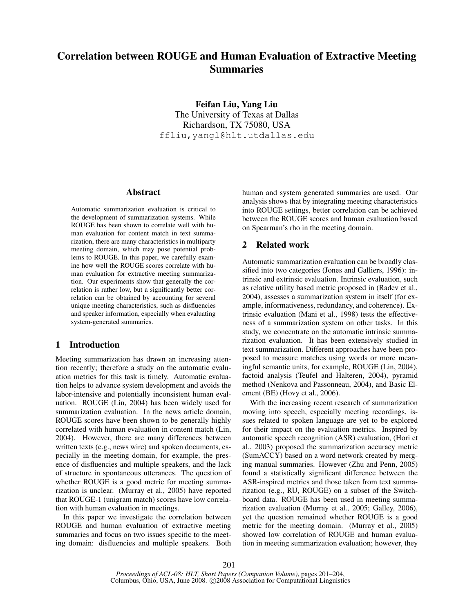# Correlation between ROUGE and Human Evaluation of Extractive Meeting Summaries

Feifan Liu, Yang Liu The University of Texas at Dallas Richardson, TX 75080, USA ffliu,yangl@hlt.utdallas.edu

# Abstract

Automatic summarization evaluation is critical to the development of summarization systems. While ROUGE has been shown to correlate well with human evaluation for content match in text summarization, there are many characteristics in multiparty meeting domain, which may pose potential problems to ROUGE. In this paper, we carefully examine how well the ROUGE scores correlate with human evaluation for extractive meeting summarization. Our experiments show that generally the correlation is rather low, but a significantly better correlation can be obtained by accounting for several unique meeting characteristics, such as disfluencies and speaker information, especially when evaluating system-generated summaries.

# 1 Introduction

Meeting summarization has drawn an increasing attention recently; therefore a study on the automatic evaluation metrics for this task is timely. Automatic evaluation helps to advance system development and avoids the labor-intensive and potentially inconsistent human evaluation. ROUGE (Lin, 2004) has been widely used for summarization evaluation. In the news article domain, ROUGE scores have been shown to be generally highly correlated with human evaluation in content match (Lin, 2004). However, there are many differences between written texts (e.g., news wire) and spoken documents, especially in the meeting domain, for example, the presence of disfluencies and multiple speakers, and the lack of structure in spontaneous utterances. The question of whether ROUGE is a good metric for meeting summarization is unclear. (Murray et al., 2005) have reported that ROUGE-1 (unigram match) scores have low correlation with human evaluation in meetings.

In this paper we investigate the correlation between ROUGE and human evaluation of extractive meeting summaries and focus on two issues specific to the meeting domain: disfluencies and multiple speakers. Both human and system generated summaries are used. Our analysis shows that by integrating meeting characteristics into ROUGE settings, better correlation can be achieved between the ROUGE scores and human evaluation based on Spearman's rho in the meeting domain.

## 2 Related work

Automatic summarization evaluation can be broadly classified into two categories (Jones and Galliers, 1996): intrinsic and extrinsic evaluation. Intrinsic evaluation, such as relative utility based metric proposed in (Radev et al., 2004), assesses a summarization system in itself (for example, informativeness, redundancy, and coherence). Extrinsic evaluation (Mani et al., 1998) tests the effectiveness of a summarization system on other tasks. In this study, we concentrate on the automatic intrinsic summarization evaluation. It has been extensively studied in text summarization. Different approaches have been proposed to measure matches using words or more meaningful semantic units, for example, ROUGE (Lin, 2004), factoid analysis (Teufel and Halteren, 2004), pyramid method (Nenkova and Passonneau, 2004), and Basic Element (BE) (Hovy et al., 2006).

With the increasing recent research of summarization moving into speech, especially meeting recordings, issues related to spoken language are yet to be explored for their impact on the evaluation metrics. Inspired by automatic speech recognition (ASR) evaluation, (Hori et al., 2003) proposed the summarization accuracy metric (SumACCY) based on a word network created by merging manual summaries. However (Zhu and Penn, 2005) found a statistically significant difference between the ASR-inspired metrics and those taken from text summarization (e.g., RU, ROUGE) on a subset of the Switchboard data. ROUGE has been used in meeting summarization evaluation (Murray et al., 2005; Galley, 2006), yet the question remained whether ROUGE is a good metric for the meeting domain. (Murray et al., 2005) showed low correlation of ROUGE and human evaluation in meeting summarization evaluation; however, they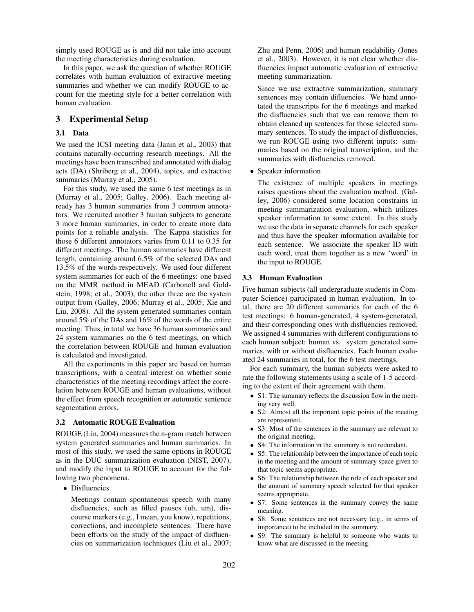simply used ROUGE as is and did not take into account the meeting characteristics during evaluation.

In this paper, we ask the question of whether ROUGE correlates with human evaluation of extractive meeting summaries and whether we can modify ROUGE to account for the meeting style for a better correlation with human evaluation.

# 3 Experimental Setup

## 3.1 Data

We used the ICSI meeting data (Janin et al., 2003) that contains naturally-occurring research meetings. All the meetings have been transcribed and annotated with dialog acts (DA) (Shriberg et al., 2004), topics, and extractive summaries (Murray et al., 2005).

For this study, we used the same 6 test meetings as in (Murray et al., 2005; Galley, 2006). Each meeting already has 3 human summaries from 3 common annotators. We recruited another 3 human subjects to generate 3 more human summaries, in order to create more data points for a reliable analysis. The Kappa statistics for those 6 different annotators varies from 0.11 to 0.35 for different meetings. The human summaries have different length, containing around 6.5% of the selected DAs and 13.5% of the words respectively. We used four different system summaries for each of the 6 meetings: one based on the MMR method in MEAD (Carbonell and Goldstein, 1998; et al., 2003), the other three are the system output from (Galley, 2006; Murray et al., 2005; Xie and Liu, 2008). All the system generated summaries contain around 5% of the DAs and 16% of the words of the entire meeting. Thus, in total we have 36 human summaries and 24 system summaries on the 6 test meetings, on which the correlation between ROUGE and human evaluation is calculated and investigated.

All the experiments in this paper are based on human transcriptions, with a central interest on whether some characteristics of the meeting recordings affect the correlation between ROUGE and human evaluations, without the effect from speech recognition or automatic sentence segmentation errors.

## 3.2 Automatic ROUGE Evaluation

ROUGE (Lin, 2004) measures the n-gram match between system generated summaries and human summaries. In most of this study, we used the same options in ROUGE as in the DUC summarization evaluation (NIST, 2007), and modify the input to ROUGE to account for the following two phenomena.

• Disfluencies

Meetings contain spontaneous speech with many disfluencies, such as filled pauses (uh, um), discourse markers (e.g., I mean, you know), repetitions, corrections, and incomplete sentences. There have been efforts on the study of the impact of disfluencies on summarization techniques (Liu et al., 2007; Zhu and Penn, 2006) and human readability (Jones et al., 2003). However, it is not clear whether disfluencies impact automatic evaluation of extractive meeting summarization.

Since we use extractive summarization, summary sentences may contain difluencies. We hand annotated the transcripts for the 6 meetings and marked the disfluencies such that we can remove them to obtain cleaned up sentences for those selected summary sentences. To study the impact of disfluencies, we run ROUGE using two different inputs: summaries based on the original transcription, and the summaries with disfluencies removed.

# • Speaker information

The existence of multiple speakers in meetings raises questions about the evaluation method. (Galley, 2006) considered some location constrains in meeting summarization evaluation, which utilizes speaker information to some extent. In this study we use the data in separate channels for each speaker and thus have the speaker information available for each sentence. We associate the speaker ID with each word, treat them together as a new 'word' in the input to ROUGE.

#### 3.3 Human Evaluation

Five human subjects (all undergraduate students in Computer Science) participated in human evaluation. In total, there are 20 different summaries for each of the 6 test meetings: 6 human-generated, 4 system-generated, and their corresponding ones with disfluencies removed. We assigned 4 summaries with different configurations to each human subject: human vs. system generated summaries, with or without disfluencies. Each human evaluated 24 summaries in total, for the 6 test meetings.

For each summary, the human subjects were asked to rate the following statements using a scale of 1-5 according to the extent of their agreement with them.

- S1: The summary reflects the discussion flow in the meeting very well.
- S2: Almost all the important topic points of the meeting are represented.
- S3: Most of the sentences in the summary are relevant to the original meeting.
- S4: The information in the summary is not redundant.
- S5: The relationship between the importance of each topic in the meeting and the amount of summary space given to that topic seems appropriate.
- S6: The relationship between the role of each speaker and the amount of summary speech selected for that speaker seems appropriate.
- S7: Some sentences in the summary convey the same meaning.
- S8: Some sentences are not necessary (e.g., in terms of importance) to be included in the summary.
- S9: The summary is helpful to someone who wants to know what are discussed in the meeting.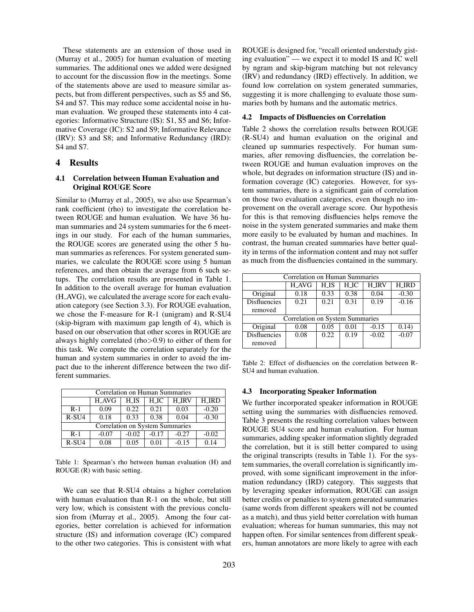These statements are an extension of those used in (Murray et al., 2005) for human evaluation of meeting summaries. The additional ones we added were designed to account for the discussion flow in the meetings. Some of the statements above are used to measure similar aspects, but from different perspectives, such as S5 and S6, S4 and S7. This may reduce some accidental noise in human evaluation. We grouped these statements into 4 categories: Informative Structure (IS): S1, S5 and S6; Informative Coverage (IC): S2 and S9; Informative Relevance (IRV): S3 and S8; and Informative Redundancy (IRD): S4 and S7.

#### 4 Results

## 4.1 Correlation between Human Evaluation and Original ROUGE Score

Similar to (Murray et al., 2005), we also use Spearman's rank coefficient (rho) to investigate the correlation between ROUGE and human evaluation. We have 36 human summaries and 24 system summaries for the 6 meetings in our study. For each of the human summaries, the ROUGE scores are generated using the other 5 human summaries as references. For system generated summaries, we calculate the ROUGE score using 5 human references, and then obtain the average from 6 such setups. The correlation results are presented in Table 1. In addition to the overall average for human evaluation (H AVG), we calculated the average score for each evaluation category (see Section 3.3). For ROUGE evaluation, we chose the F-measure for R-1 (unigram) and R-SU4 (skip-bigram with maximum gap length of 4), which is based on our observation that other scores in ROUGE are always highly correlated (rho>0.9) to either of them for this task. We compute the correlation separately for the human and system summaries in order to avoid the impact due to the inherent difference between the two different summaries.

| Correlation on Human Summaries  |                     |         |         |              |              |  |  |  |
|---------------------------------|---------------------|---------|---------|--------------|--------------|--|--|--|
|                                 | $H$ <sub>-AVG</sub> | $H-1S$  | $H\_IC$ | <b>H_IRV</b> | <b>H_IRD</b> |  |  |  |
| $R-1$                           | 0.09                | 0.22    | 0.21    | 0.03         | $-0.20$      |  |  |  |
| $R-SU4$                         | 0.18                | 0.33    | 0.38    | 0.04         | $-0.30$      |  |  |  |
| Correlation on System Summaries |                     |         |         |              |              |  |  |  |
| $R-1$                           | $-0.07$             | $-0.02$ | $-0.17$ | $-0.27$      | $-0.02$      |  |  |  |
| R-SU <sub>4</sub>               | 0.08                | 0.05    | 0.01    | $-0.15$      | 0.14         |  |  |  |

Table 1: Spearman's rho between human evaluation (H) and ROUGE (R) with basic setting.

We can see that R-SU4 obtains a higher correlation with human evaluation than R-1 on the whole, but still very low, which is consistent with the previous conclusion from (Murray et al., 2005). Among the four categories, better correlation is achieved for information structure (IS) and information coverage (IC) compared to the other two categories. This is consistent with what ROUGE is designed for, "recall oriented understudy gisting evaluation" — we expect it to model IS and IC well by ngram and skip-bigram matching but not relevancy (IRV) and redundancy (IRD) effectively. In addition, we found low correlation on system generated summaries, suggesting it is more challenging to evaluate those summaries both by humans and the automatic metrics.

#### 4.2 Impacts of Disfluencies on Correlation

Table 2 shows the correlation results between ROUGE (R-SU4) and human evaluation on the original and cleaned up summaries respectively. For human summaries, after removing disfluencies, the correlation between ROUGE and human evaluation improves on the whole, but degrades on information structure (IS) and information coverage (IC) categories. However, for system summaries, there is a significant gain of correlation on those two evaluation categories, even though no improvement on the overall average score. Our hypothesis for this is that removing disfluencies helps remove the noise in the system generated summaries and make them more easily to be evaluated by human and machines. In contrast, the human created summaries have better quality in terms of the information content and may not suffer as much from the disfluencies contained in the summary.

| Correlation on Human Summaries         |              |                 |      |              |              |  |  |  |
|----------------------------------------|--------------|-----------------|------|--------------|--------------|--|--|--|
|                                        | <b>H_AVG</b> | H <sub>1S</sub> | H_IC | <b>H IRV</b> | <b>H_IRD</b> |  |  |  |
| Original                               | 0.18         | 0.33            | 0.38 | 0.04         | $-0.30$      |  |  |  |
| <b>Disfluencies</b>                    | 0.21         | 0.21            | 0.31 | 0.19         | $-0.16$      |  |  |  |
| removed                                |              |                 |      |              |              |  |  |  |
| <b>Correlation on System Summaries</b> |              |                 |      |              |              |  |  |  |
| Original                               | 0.08         | 0.05            | 0.01 | $-0.15$      | 0.14)        |  |  |  |
| <b>Disfluencies</b>                    | 0.08         | 0.22            | 0.19 | $-0.02$      | $-0.07$      |  |  |  |
| removed                                |              |                 |      |              |              |  |  |  |

Table 2: Effect of disfluencies on the correlation between R-SU4 and human evaluation.

## 4.3 Incorporating Speaker Information

We further incorporated speaker information in ROUGE setting using the summaries with disfluencies removed. Table 3 presents the resulting correlation values between ROUGE SU4 score and human evaluation. For human summaries, adding speaker information slightly degraded the correlation, but it is still better compared to using the original transcripts (results in Table 1). For the system summaries, the overall correlation is significantly improved, with some significant improvement in the information redundancy (IRD) category. This suggests that by leveraging speaker information, ROUGE can assign better credits or penalties to system generated summaries (same words from different speakers will not be counted as a match), and thus yield better correlation with human evaluation; whereas for human summaries, this may not happen often. For similar sentences from different speakers, human annotators are more likely to agree with each